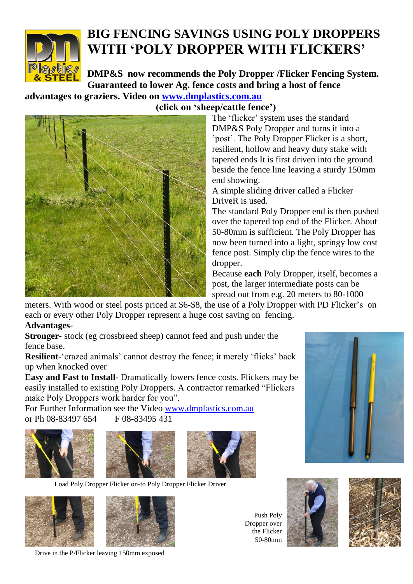

## **BIG FENCING SAVINGS USING POLY DROPPERS WITH 'POLY DROPPER WITH FLICKERS'**

**DMP&S now recommends the Poly Dropper /Flicker Fencing System. Guaranteed to lower Ag. fence costs and bring a host of fence** 

**advantages to graziers. Video on [www.dmplastics.com.au](http://www.dmplastics.com.au/)** 



 **(click on 'sheep/cattle fence')**

The 'flicker' system uses the standard DMP&S Poly Dropper and turns it into a 'post'. The Poly Dropper Flicker is a short, resilient, hollow and heavy duty stake with tapered ends It is first driven into the ground beside the fence line leaving a sturdy 150mm end showing.

A simple sliding driver called a Flicker DriveR is used.

The standard Poly Dropper end is then pushed over the tapered top end of the Flicker. About 50-80mm is sufficient. The Poly Dropper has now been turned into a light, springy low cost fence post. Simply clip the fence wires to the dropper.

Because **each** Poly Dropper, itself, becomes a post, the larger intermediate posts can be spread out from e.g. 20 meters to 80-1000

meters. With wood or steel posts priced at \$6-\$8, the use of a Poly Dropper with PD Flicker's on each or every other Poly Dropper represent a huge cost saving on fencing. **Advantages**-

**Stronger**- stock (eg crossbreed sheep) cannot feed and push under the fence base.

**Resilient**-"crazed animals" cannot destroy the fence; it merely "flicks" back up when knocked over

**Easy and Fast to Install**- Dramatically lowers fence costs. Flickers may be easily installed to existing Poly Droppers. A contractor remarked "Flickers make Poly Droppers work harder for you".

For Further Information see the Video [www.dmplastics.com.au](http://www.dmplastics.com.au/) or Ph 08-83497 654 F 08-83495 431







Load Poly Dropper Flicker on-to Poly Dropper Flicker Driver



Drive in the P/Flicker leaving 150mm exposed